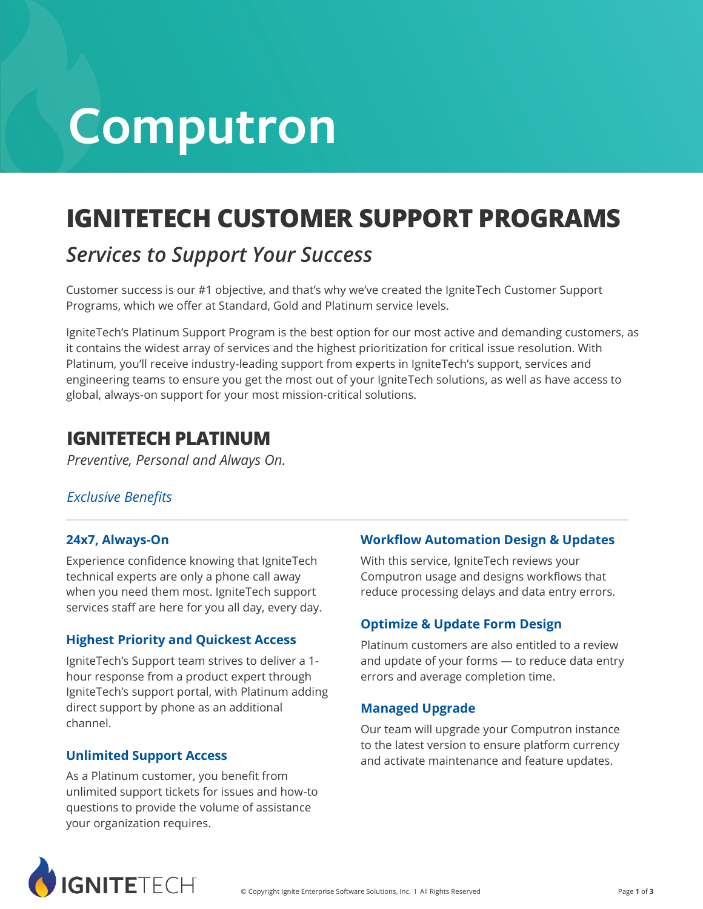# **Computron**

# **IGNITETECH CUSTOMER SUPPORT PROGRAMS**

#### *Services to Support Your Success*

Customer success is our #1 objective, and that's why we've created the IgniteTech Customer Support Programs, which we offer at Standard, Gold and Platinum service levels.

IgniteTech's Platinum Support Program is the best option for our most active and demanding customers, as it contains the widest array of services and the highest prioritization for critical issue resolution. With Platinum, you'll receive industry-leading support from experts in IgniteTech's support, services and engineering teams to ensure you get the most out of your IgniteTech solutions, as well as have access to global, always-on support for your most mission-critical solutions.

#### **IGNITETECH PLATINUM**

*Preventive, Personal and Always On.*

#### *Exclusive Benefits*

#### **24x7, Always-On**

Experience confidence knowing that IgniteTech technical experts are only a phone call away when you need them most. IgniteTech support services staff are here for you all day, every day.

#### **Highest Priority and Quickest Access**

IgniteTech's Support team strives to deliver a 1 hour response from a product expert through IgniteTech's support portal, with Platinum adding direct support by phone as an additional channel.

#### **Unlimited Support Access**

As a Platinum customer, you benefit from unlimited support tickets for issues and how-to questions to provide the volume of assistance your organization requires.

#### **Workflow Automation Design & Updates**

With this service, IgniteTech reviews your Computron usage and designs workflows that reduce processing delays and data entry errors.

#### **Optimize & Update Form Design**

Platinum customers are also entitled to a review and update of your forms — to reduce data entry errors and average completion time.

#### **Managed Upgrade**

Our team will upgrade your Computron instance to the latest version to ensure platform currency and activate maintenance and feature updates.

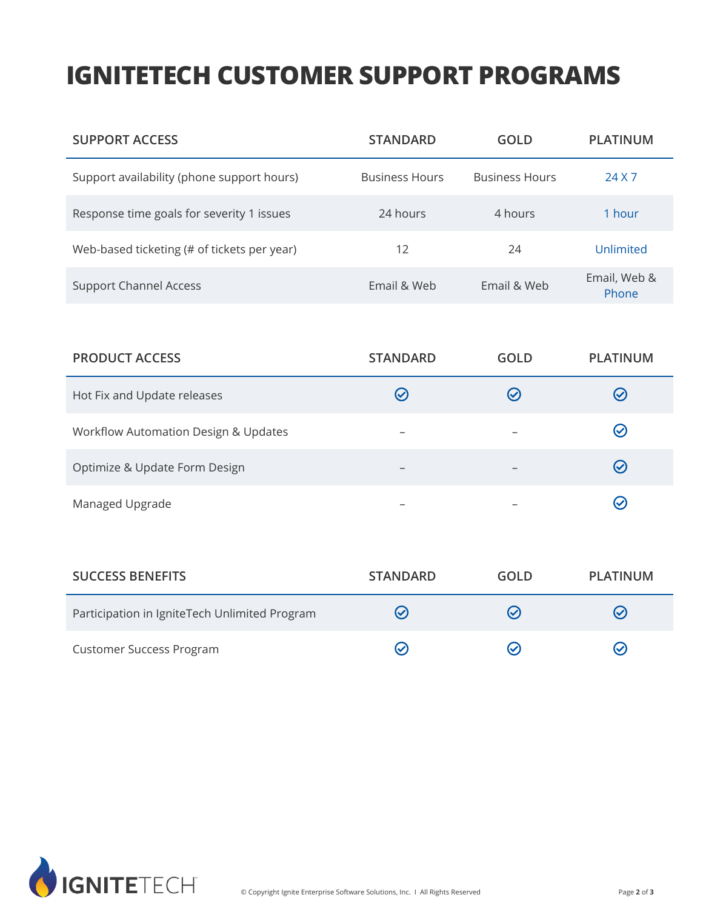## **IGNITETECH CUSTOMER SUPPORT PROGRAMS**

| <b>SUPPORT ACCESS</b>                       | <b>STANDARD</b>       | GOLD                  | <b>PLATINUM</b>       |
|---------------------------------------------|-----------------------|-----------------------|-----------------------|
| Support availability (phone support hours)  | <b>Business Hours</b> | <b>Business Hours</b> | 24 X 7                |
| Response time goals for severity 1 issues   | 24 hours              | 4 hours               | 1 hour                |
| Web-based ticketing (# of tickets per year) | 12                    | 24                    | Unlimited             |
| <b>Support Channel Access</b>               | Email & Web           | Email & Web           | Email, Web &<br>Phone |

| <b>PRODUCT ACCESS</b>                | <b>STANDARD</b> | <b>GOLD</b>   | <b>PLATINUM</b> |
|--------------------------------------|-----------------|---------------|-----------------|
| Hot Fix and Update releases          | $\mathcal C$    | $\mathcal{C}$ | $(\checkmark)$  |
| Workflow Automation Design & Updates |                 |               | $(\checkmark)$  |
| Optimize & Update Form Design        | -               |               | $\bm{\omega}$   |
| Managed Upgrade                      |                 |               | $(\checkmark)$  |

| <b>SUCCESS BENEFITS</b>                       | <b>STANDARD</b> | <b>GOLD</b> | PLATINUM       |
|-----------------------------------------------|-----------------|-------------|----------------|
| Participation in IgniteTech Unlimited Program | $(\checkmark)$  | ✓           | $(\checkmark)$ |
| <b>Customer Success Program</b>               |                 |             | $(\checkmark)$ |